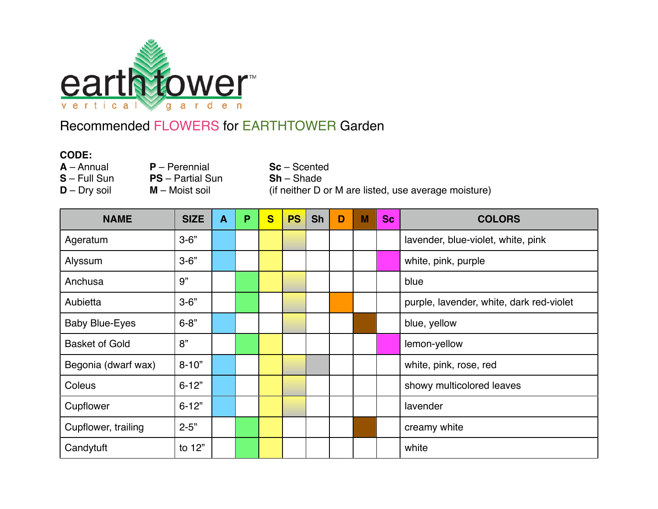

## Recommended FLOWERS for EARTHTOWER Garden

## **CODE:**

- 
- 

**PS** – Partial Sun

**A** – Annual **P** – Perennial **Sc** – Scented **S** – Full Sun **PS** – Partial Sun **Sh** – Shade **D** – Dry soil **M** – Moist soil **i** (if neither D or M are listed, use average moisture)

| <b>NAME</b>           | <b>SIZE</b> | A | P | $\mathbf{s}$ | <b>PS</b> | <b>Sh</b> | D | M | <b>Sc</b> | <b>COLORS</b>                            |
|-----------------------|-------------|---|---|--------------|-----------|-----------|---|---|-----------|------------------------------------------|
| Ageratum              | $3 - 6"$    |   |   |              |           |           |   |   |           | lavender, blue-violet, white, pink       |
| Alyssum               | $3 - 6"$    |   |   |              |           |           |   |   |           | white, pink, purple                      |
| Anchusa               | 9"          |   |   |              |           |           |   |   |           | blue                                     |
| Aubietta              | $3 - 6"$    |   |   |              |           |           |   |   |           | purple, lavender, white, dark red-violet |
| <b>Baby Blue-Eyes</b> | $6 - 8"$    |   |   |              |           |           |   |   |           | blue, yellow                             |
| <b>Basket of Gold</b> | 8"          |   |   |              |           |           |   |   |           | lemon-yellow                             |
| Begonia (dwarf wax)   | $8 - 10"$   |   |   |              |           |           |   |   |           | white, pink, rose, red                   |
| Coleus                | $6 - 12"$   |   |   |              |           |           |   |   |           | showy multicolored leaves                |
| Cupflower             | $6 - 12"$   |   |   |              |           |           |   |   |           | lavender                                 |
| Cupflower, trailing   | $2 - 5"$    |   |   |              |           |           |   |   |           | creamy white                             |
| Candytuft             | to 12"      |   |   |              |           |           |   |   |           | white                                    |